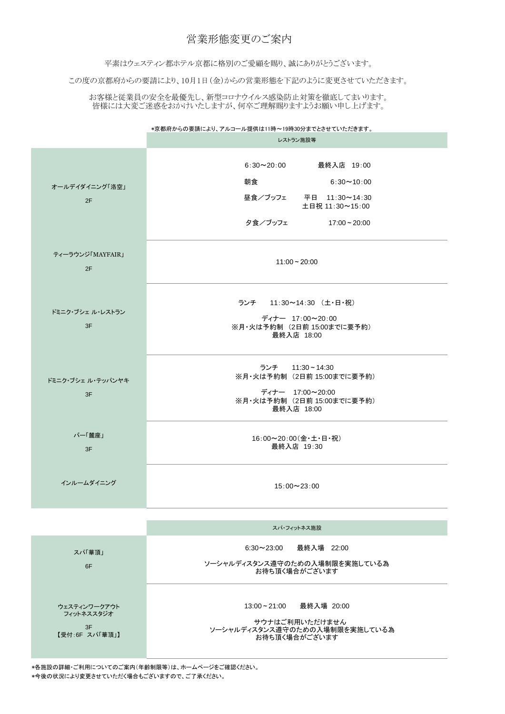\*京都府からの要請により、アルコール提供は11時~19時30分までとさせていただきます。

|                         | レストラン施設等                                                                                                                                       |
|-------------------------|------------------------------------------------------------------------------------------------------------------------------------------------|
| オールデイダイニング「洛空」<br>2F    | 最終入店 19:00<br>$6:30 \sim 20:00$<br>朝食<br>$6:30 \sim 10:00$<br>昼食/ブッフェ<br>平日 11:30~14:30<br>土日祝 11:30~15:00<br>夕食/ブッフェ<br>$17:00 \approx 20:00$ |
| ティーラウンジ「MAYFAIR」<br>2F  | $11:00 - 20:00$                                                                                                                                |
| ドミニク・ブシェ ル・レストラン<br>3F  | ランチ 11:30~14:30 (土・日・祝)<br>ディナー 17:00~20:00<br>※月・火は予約制 (2日前 15:00までに要予約)<br>最終入店 18:00                                                        |
| ドミニク・ブシェ ル・テッパンヤキ<br>3F | ランチ 11:30~14:30<br>※月・火は予約制 (2日前 15:00までに要予約)<br>ディナー 17:00~20:00<br>※月・火は予約制 (2日前 15:00までに要予約)<br>最終入店 18:00                                  |
| バー「麓座」<br>3F            | 16:00~20:00(金·土·日·祝)<br>最終入店 19:30                                                                                                             |
| インルームダイニング              | $15:00 \sim 23:00$                                                                                                                             |

|                                                    | スパ・フィットネス施設                                                                                  |
|----------------------------------------------------|----------------------------------------------------------------------------------------------|
| スパ華頂」<br>6F                                        | 6:30~23:00  最終入場 22:00<br>ソーシャルディスタンス遵守のための入場制限を実施している為<br>お待ち頂く場合がございます                     |
| ウェスティンワークアウト<br>フィットネススタジオ<br>3F<br>【受付:6F スパ「華頂」】 | 13:00~21:00   最終入場 20:00<br>サウナはご利用いただけません<br>ソーシャルディスタンス遵守のための入場制限を実施している為<br>お待ち頂く場合がございます |

## 営業形態変更のご案内

平素はウェスティン都ホテル京都に格別のご愛顧を賜り、誠にありがとうございます。

この度の京都府からの要請により、10月1日(金)からの営業形態を下記のように変更させていただきます。

お客様と従業員の安全を最優先し、新型コロナウイルス感染防止対策を徹底してまいります。 皆様には大変ご迷惑をおかけいたしますが、何卒ご理解賜りますようお願い申し上げます。

\*各施設の詳細・ご利用についてのご案内(年齢制限等)は、ホームページをご確認ください。 \*今後の状況により変更させていただく場合もございますので、ご了承ください。